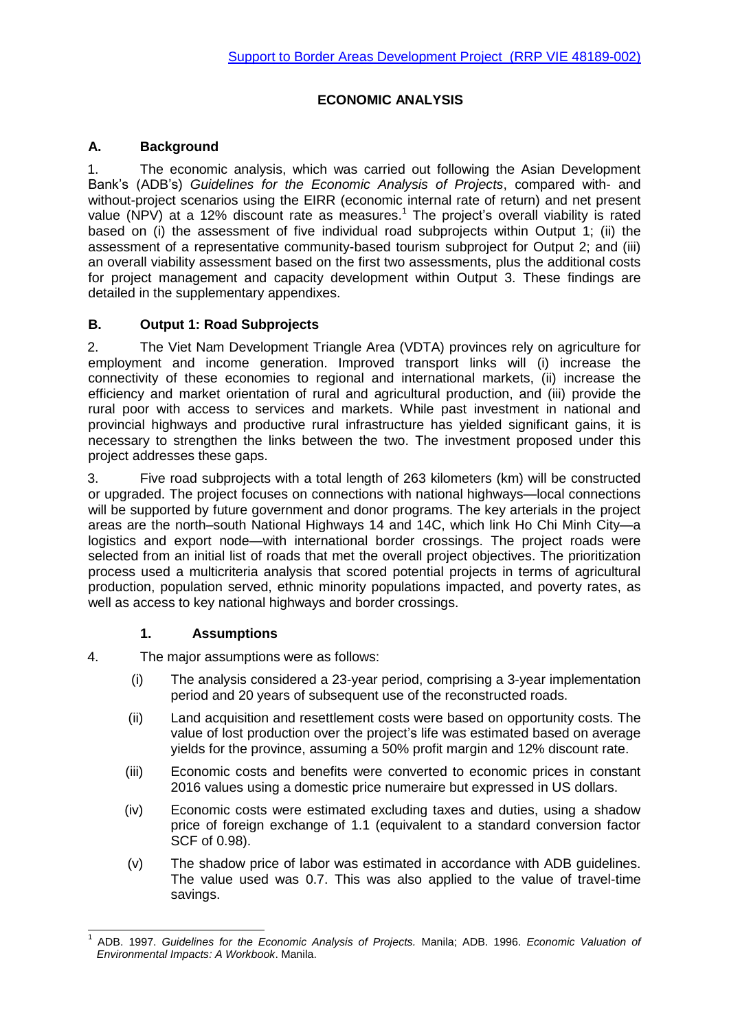# **ECONOMIC ANALYSIS**

# **A. Background**

1. The economic analysis, which was carried out following the Asian Development Bank's (ADB's) *Guidelines for the Economic Analysis of Projects*, compared with- and without-project scenarios using the EIRR (economic internal rate of return) and net present value (NPV) at a 12% discount rate as measures.<sup>1</sup> The project's overall viability is rated based on (i) the assessment of five individual road subprojects within Output 1; (ii) the assessment of a representative community-based tourism subproject for Output 2; and (iii) an overall viability assessment based on the first two assessments, plus the additional costs for project management and capacity development within Output 3. These findings are detailed in the supplementary appendixes.

## **B. Output 1: Road Subprojects**

2. The Viet Nam Development Triangle Area (VDTA) provinces rely on agriculture for employment and income generation. Improved transport links will (i) increase the connectivity of these economies to regional and international markets, (ii) increase the efficiency and market orientation of rural and agricultural production, and (iii) provide the rural poor with access to services and markets. While past investment in national and provincial highways and productive rural infrastructure has yielded significant gains, it is necessary to strengthen the links between the two. The investment proposed under this project addresses these gaps.

3. Five road subprojects with a total length of 263 kilometers (km) will be constructed or upgraded. The project focuses on connections with national highways—local connections will be supported by future government and donor programs. The key arterials in the project areas are the north–south National Highways 14 and 14C, which link Ho Chi Minh City—a logistics and export node—with international border crossings. The project roads were selected from an initial list of roads that met the overall project objectives. The prioritization process used a multicriteria analysis that scored potential projects in terms of agricultural production, population served, ethnic minority populations impacted, and poverty rates, as well as access to key national highways and border crossings.

#### **1. Assumptions**

4. The major assumptions were as follows:

- (i) The analysis considered a 23-year period, comprising a 3-year implementation period and 20 years of subsequent use of the reconstructed roads.
- (ii) Land acquisition and resettlement costs were based on opportunity costs. The value of lost production over the project's life was estimated based on average yields for the province, assuming a 50% profit margin and 12% discount rate.
- (iii) Economic costs and benefits were converted to economic prices in constant 2016 values using a domestic price numeraire but expressed in US dollars.
- (iv) Economic costs were estimated excluding taxes and duties, using a shadow price of foreign exchange of 1.1 (equivalent to a standard conversion factor SCF of 0.98).
- (v) The shadow price of labor was estimated in accordance with ADB guidelines. The value used was 0.7. This was also applied to the value of travel-time savings.

<sup>-</sup>1 ADB. 1997. *Guidelines for the Economic Analysis of Projects.* Manila; ADB. 1996. *Economic Valuation of Environmental Impacts: A Workbook*. Manila.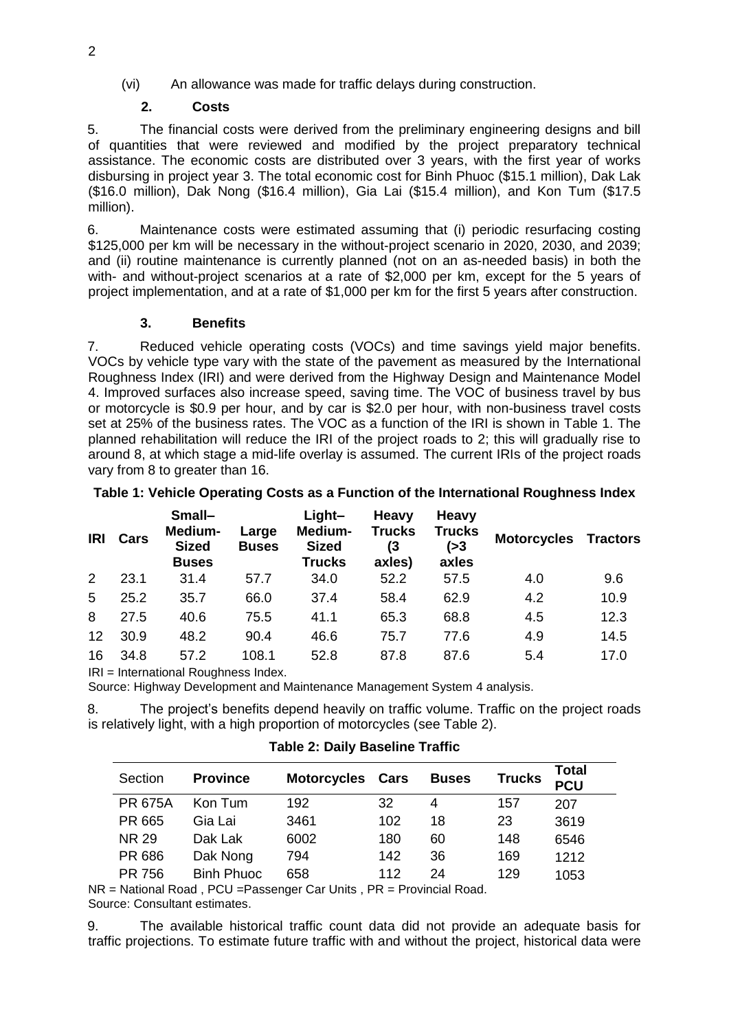# (vi) An allowance was made for traffic delays during construction.

## **2. Costs**

5. The financial costs were derived from the preliminary engineering designs and bill of quantities that were reviewed and modified by the project preparatory technical assistance. The economic costs are distributed over 3 years, with the first year of works disbursing in project year 3. The total economic cost for Binh Phuoc (\$15.1 million), Dak Lak (\$16.0 million), Dak Nong (\$16.4 million), Gia Lai (\$15.4 million), and Kon Tum (\$17.5 million).

6. Maintenance costs were estimated assuming that (i) periodic resurfacing costing \$125,000 per km will be necessary in the without-project scenario in 2020, 2030, and 2039; and (ii) routine maintenance is currently planned (not on an as-needed basis) in both the with- and without-project scenarios at a rate of \$2,000 per km, except for the 5 years of project implementation, and at a rate of \$1,000 per km for the first 5 years after construction.

## **3. Benefits**

7. Reduced vehicle operating costs (VOCs) and time savings yield major benefits. VOCs by vehicle type vary with the state of the pavement as measured by the International Roughness Index (IRI) and were derived from the Highway Design and Maintenance Model 4. Improved surfaces also increase speed, saving time. The VOC of business travel by bus or motorcycle is \$0.9 per hour, and by car is \$2.0 per hour, with non-business travel costs set at 25% of the business rates. The VOC as a function of the IRI is shown in [Table 1.](#page-1-0) The planned rehabilitation will reduce the IRI of the project roads to 2; this will gradually rise to around 8, at which stage a mid-life overlay is assumed. The current IRIs of the project roads vary from 8 to greater than 16.

<span id="page-1-0"></span>

| Table 1: Vehicle Operating Costs as a Function of the International Roughness Index |  |  |  |
|-------------------------------------------------------------------------------------|--|--|--|
|-------------------------------------------------------------------------------------|--|--|--|

| <b>IRI</b>  | Cars | Small-<br>Medium-<br><b>Sized</b><br><b>Buses</b> | Large<br><b>Buses</b> | Light-<br>Medium-<br><b>Sized</b><br><b>Trucks</b> | <b>Heavy</b><br><b>Trucks</b><br>(3<br>axles) | <b>Heavy</b><br><b>Trucks</b><br>( > 3)<br>axles | <b>Motorcycles Tractors</b> |      |
|-------------|------|---------------------------------------------------|-----------------------|----------------------------------------------------|-----------------------------------------------|--------------------------------------------------|-----------------------------|------|
| $2^{\circ}$ | 23.1 | 31.4                                              | 57.7                  | 34.0                                               | 52.2                                          | 57.5                                             | 4.0                         | 9.6  |
| 5           | 25.2 | 35.7                                              | 66.0                  | 37.4                                               | 58.4                                          | 62.9                                             | 4.2                         | 10.9 |
| 8           | 27.5 | 40.6                                              | 75.5                  | 41.1                                               | 65.3                                          | 68.8                                             | 4.5                         | 12.3 |
| 12          | 30.9 | 48.2                                              | 90.4                  | 46.6                                               | 75.7                                          | 77.6                                             | 4.9                         | 14.5 |
| 16          | 34.8 | 57.2                                              | 108.1                 | 52.8                                               | 87.8                                          | 87.6                                             | 5.4                         | 17.0 |

IRI = International Roughness Index.

Source: Highway Development and Maintenance Management System 4 analysis.

8. The project's benefits depend heavily on traffic volume. Traffic on the project roads is relatively light, with a high proportion of motorcycles (see [Table 2\)](#page-1-1).

<span id="page-1-1"></span>

| Section        | <b>Province</b>   | <b>Motorcycles Cars</b> |     | <b>Buses</b> | <b>Trucks</b> | <b>Total</b><br><b>PCU</b> |
|----------------|-------------------|-------------------------|-----|--------------|---------------|----------------------------|
| <b>PR 675A</b> | Kon Tum           | 192                     | 32  | 4            | 157           | 207                        |
| PR 665         | Gia Lai           | 3461                    | 102 | 18           | 23            | 3619                       |
| <b>NR 29</b>   | Dak Lak           | 6002                    | 180 | 60           | 148           | 6546                       |
| PR 686         | Dak Nong          | 794                     | 142 | 36           | 169           | 1212                       |
| PR 756         | <b>Binh Phuoc</b> | 658                     | 112 | 24           | 129           | 1053                       |

**Table 2: Daily Baseline Traffic**

NR = National Road , PCU =Passenger Car Units , PR = Provincial Road. Source: Consultant estimates.

9. The available historical traffic count data did not provide an adequate basis for traffic projections. To estimate future traffic with and without the project, historical data were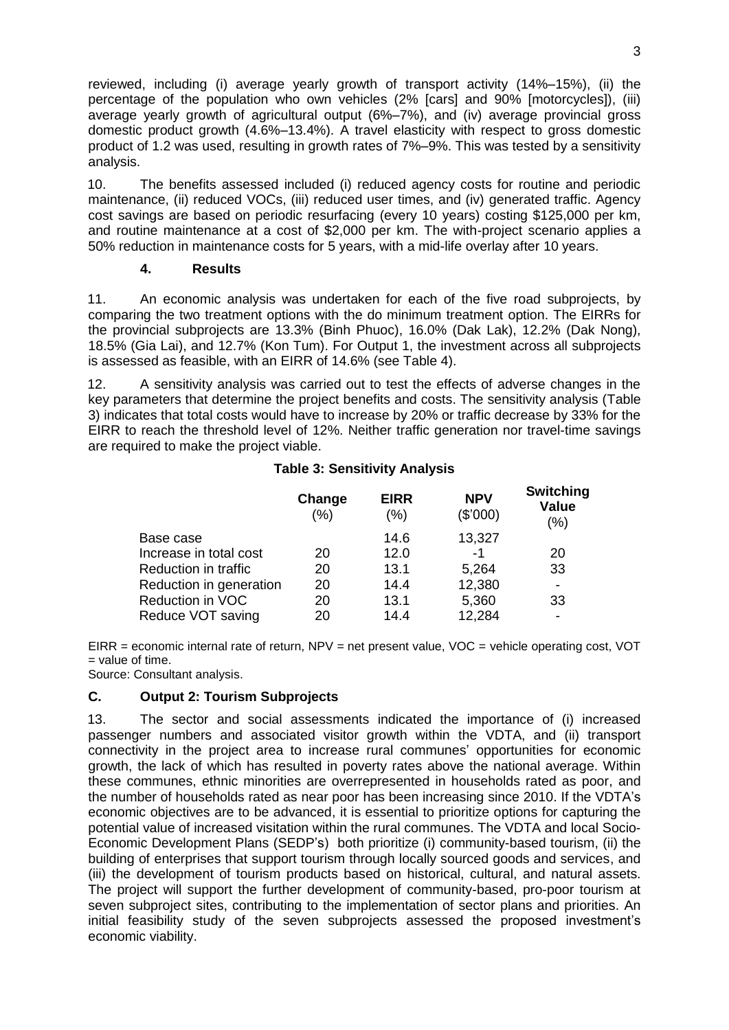reviewed, including (i) average yearly growth of transport activity (14%–15%), (ii) the percentage of the population who own vehicles (2% [cars] and 90% [motorcycles]), (iii) average yearly growth of agricultural output (6%–7%), and (iv) average provincial gross domestic product growth (4.6%–13.4%). A travel elasticity with respect to gross domestic product of 1.2 was used, resulting in growth rates of 7%–9%. This was tested by a sensitivity analysis.

10. The benefits assessed included (i) reduced agency costs for routine and periodic maintenance, (ii) reduced VOCs, (iii) reduced user times, and (iv) generated traffic. Agency cost savings are based on periodic resurfacing (every 10 years) costing \$125,000 per km, and routine maintenance at a cost of \$2,000 per km. The with-project scenario applies a 50% reduction in maintenance costs for 5 years, with a mid-life overlay after 10 years.

#### **4. Results**

11. An economic analysis was undertaken for each of the five road subprojects, by comparing the two treatment options with the do minimum treatment option. The EIRRs for the provincial subprojects are 13.3% (Binh Phuoc), 16.0% (Dak Lak), 12.2% (Dak Nong), 18.5% (Gia Lai), and 12.7% (Kon Tum). For Output 1, the investment across all subprojects is assessed as feasible, with an EIRR of 14.6% (see [Table 4\)](#page-3-0).

12. A sensitivity analysis was carried out to test the effects of adverse changes in the key parameters that determine the project benefits and costs. The sensitivity analysis [\(Table](#page-2-0)  [3\)](#page-2-0) indicates that total costs would have to increase by 20% or traffic decrease by 33% for the EIRR to reach the threshold level of 12%. Neither traffic generation nor travel-time savings are required to make the project viable.

#### **Table 3: Sensitivity Analysis**

<span id="page-2-0"></span>

|                         | Change<br>(% ) | <b>EIRR</b><br>(% ) | <b>NPV</b><br>(\$7000) | Switching<br><b>Value</b><br>(% ) |  |  |
|-------------------------|----------------|---------------------|------------------------|-----------------------------------|--|--|
| Base case               |                | 14.6                | 13,327                 |                                   |  |  |
| Increase in total cost  | 20             | 12.0                | $-1$                   | 20                                |  |  |
| Reduction in traffic    | 20             | 13.1                | 5,264                  | 33                                |  |  |
| Reduction in generation | 20             | 14.4                | 12,380                 | -                                 |  |  |
| Reduction in VOC        | 20             | 13.1                | 5,360                  | 33                                |  |  |
| Reduce VOT saving       | 20             | 14.4                | 12,284                 |                                   |  |  |

EIRR = economic internal rate of return,  $NPV = net$  present value,  $VOC =$  vehicle operating cost, VOT = value of time.

Source: Consultant analysis.

#### **C. Output 2: Tourism Subprojects**

13. The sector and social assessments indicated the importance of (i) increased passenger numbers and associated visitor growth within the VDTA, and (ii) transport connectivity in the project area to increase rural communes' opportunities for economic growth, the lack of which has resulted in poverty rates above the national average. Within these communes, ethnic minorities are overrepresented in households rated as poor, and the number of households rated as near poor has been increasing since 2010. If the VDTA's economic objectives are to be advanced, it is essential to prioritize options for capturing the potential value of increased visitation within the rural communes. The VDTA and local Socio-Economic Development Plans (SEDP's) both prioritize (i) community-based tourism, (ii) the building of enterprises that support tourism through locally sourced goods and services, and (iii) the development of tourism products based on historical, cultural, and natural assets. The project will support the further development of community-based, pro-poor tourism at seven subproject sites, contributing to the implementation of sector plans and priorities. An initial feasibility study of the seven subprojects assessed the proposed investment's economic viability.

**Switching**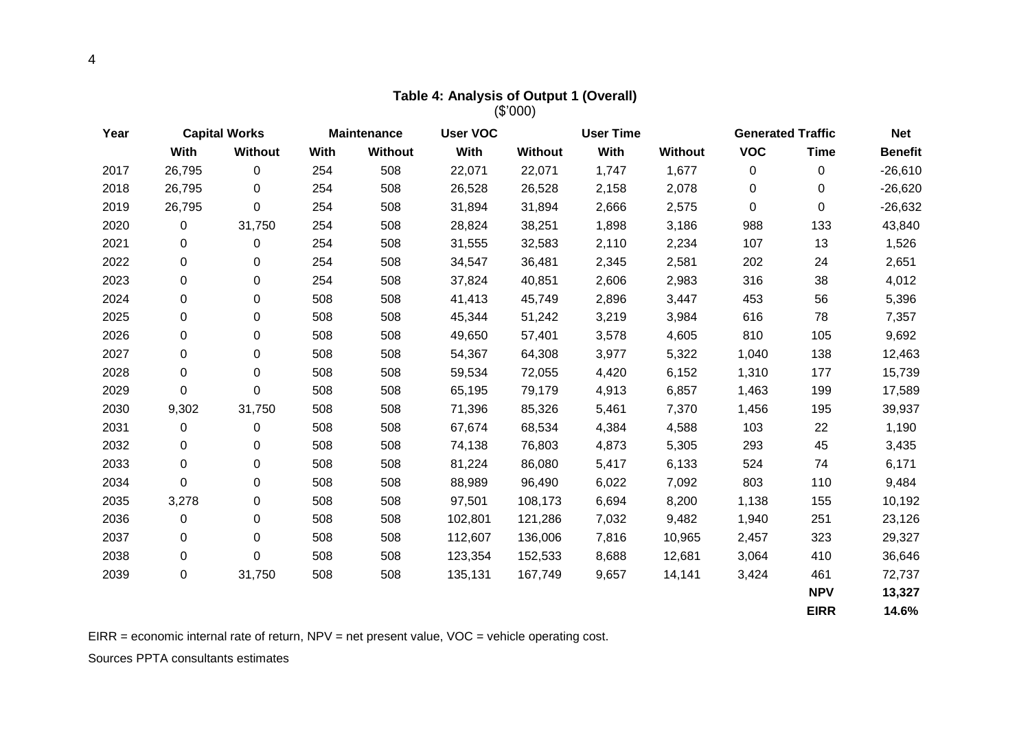| (\$'000) |             |                      |      |                                       |         |                  |       |                |                          |             |                |
|----------|-------------|----------------------|------|---------------------------------------|---------|------------------|-------|----------------|--------------------------|-------------|----------------|
| Year     |             | <b>Capital Works</b> |      | <b>User VOC</b><br><b>Maintenance</b> |         | <b>User Time</b> |       |                | <b>Generated Traffic</b> |             | <b>Net</b>     |
|          | With        | Without              | With | Without                               | With    | <b>Without</b>   | With  | <b>Without</b> | <b>VOC</b>               | <b>Time</b> | <b>Benefit</b> |
| 2017     | 26,795      | $\mathbf 0$          | 254  | 508                                   | 22,071  | 22,071           | 1,747 | 1,677          | 0                        | 0           | $-26,610$      |
| 2018     | 26,795      | 0                    | 254  | 508                                   | 26,528  | 26,528           | 2,158 | 2,078          | $\mathbf 0$              | 0           | $-26,620$      |
| 2019     | 26,795      | 0                    | 254  | 508                                   | 31,894  | 31,894           | 2,666 | 2,575          | $\mathbf 0$              | 0           | $-26,632$      |
| 2020     | 0           | 31,750               | 254  | 508                                   | 28,824  | 38,251           | 1,898 | 3,186          | 988                      | 133         | 43,840         |
| 2021     | 0           | 0                    | 254  | 508                                   | 31,555  | 32,583           | 2,110 | 2,234          | 107                      | 13          | 1,526          |
| 2022     | 0           | 0                    | 254  | 508                                   | 34,547  | 36,481           | 2,345 | 2,581          | 202                      | 24          | 2,651          |
| 2023     | 0           | 0                    | 254  | 508                                   | 37,824  | 40,851           | 2,606 | 2,983          | 316                      | 38          | 4,012          |
| 2024     | 0           | 0                    | 508  | 508                                   | 41,413  | 45,749           | 2,896 | 3,447          | 453                      | 56          | 5,396          |
| 2025     | 0           | 0                    | 508  | 508                                   | 45,344  | 51,242           | 3,219 | 3,984          | 616                      | 78          | 7,357          |
| 2026     | 0           | 0                    | 508  | 508                                   | 49,650  | 57,401           | 3,578 | 4,605          | 810                      | 105         | 9,692          |
| 2027     | 0           | 0                    | 508  | 508                                   | 54,367  | 64,308           | 3,977 | 5,322          | 1,040                    | 138         | 12,463         |
| 2028     | 0           | 0                    | 508  | 508                                   | 59,534  | 72,055           | 4,420 | 6,152          | 1,310                    | 177         | 15,739         |
| 2029     | 0           | 0                    | 508  | 508                                   | 65,195  | 79,179           | 4,913 | 6,857          | 1,463                    | 199         | 17,589         |
| 2030     | 9,302       | 31,750               | 508  | 508                                   | 71,396  | 85,326           | 5,461 | 7,370          | 1,456                    | 195         | 39,937         |
| 2031     | 0           | 0                    | 508  | 508                                   | 67,674  | 68,534           | 4,384 | 4,588          | 103                      | 22          | 1,190          |
| 2032     | $\mathbf 0$ | 0                    | 508  | 508                                   | 74,138  | 76,803           | 4,873 | 5,305          | 293                      | 45          | 3,435          |
| 2033     | 0           | 0                    | 508  | 508                                   | 81,224  | 86,080           | 5,417 | 6,133          | 524                      | 74          | 6,171          |
| 2034     | 0           | 0                    | 508  | 508                                   | 88,989  | 96,490           | 6,022 | 7,092          | 803                      | 110         | 9,484          |
| 2035     | 3,278       | $\pmb{0}$            | 508  | 508                                   | 97,501  | 108,173          | 6,694 | 8,200          | 1,138                    | 155         | 10,192         |
| 2036     | $\mathbf 0$ | 0                    | 508  | 508                                   | 102,801 | 121,286          | 7,032 | 9,482          | 1,940                    | 251         | 23,126         |
| 2037     | 0           | 0                    | 508  | 508                                   | 112,607 | 136,006          | 7,816 | 10,965         | 2,457                    | 323         | 29,327         |
| 2038     | 0           | $\mathbf 0$          | 508  | 508                                   | 123,354 | 152,533          | 8,688 | 12,681         | 3,064                    | 410         | 36,646         |
| 2039     | $\pmb{0}$   | 31,750               | 508  | 508                                   | 135,131 | 167,749          | 9,657 | 14,141         | 3,424                    | 461         | 72,737         |
|          |             |                      |      |                                       |         |                  |       |                |                          | <b>NPV</b>  | 13,327         |
|          |             |                      |      |                                       |         |                  |       |                |                          | <b>EIRR</b> | 14.6%          |

**Table 4: Analysis of Output 1 (Overall)** 

<span id="page-3-0"></span>EIRR = economic internal rate of return, NPV = net present value, VOC = vehicle operating cost.

Sources PPTA consultants estimates